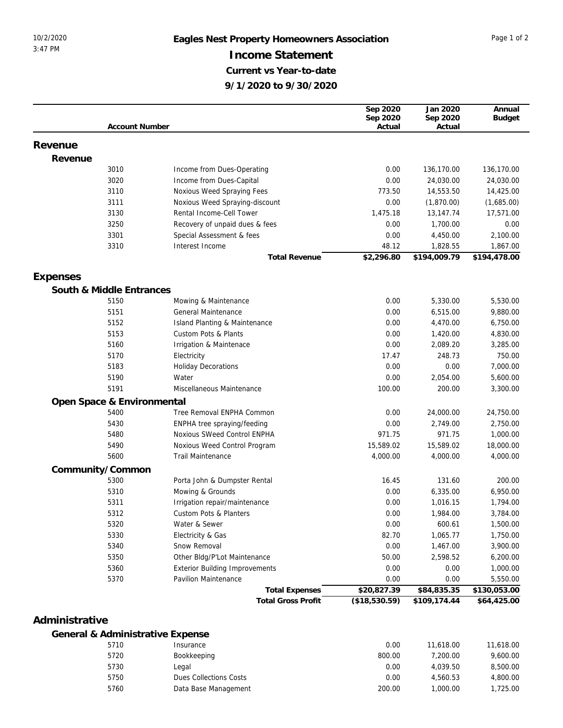## 10/2/2020 **Eagles Nest Property Homeowners Association** Page 1 of 2 **Income Statement Current vs Year-to-date 9/1/2020 to 9/30/2020**

|                  |                                  |                                       | Sep 2020           | Jan 2020           | Annual        |
|------------------|----------------------------------|---------------------------------------|--------------------|--------------------|---------------|
|                  | <b>Account Number</b>            |                                       | Sep 2020<br>Actual | Sep 2020<br>Actual | <b>Budget</b> |
|                  |                                  |                                       |                    |                    |               |
| Revenue          |                                  |                                       |                    |                    |               |
| Revenue          |                                  |                                       |                    |                    |               |
|                  | 3010                             | Income from Dues-Operating            | 0.00               | 136,170.00         | 136,170.00    |
|                  | 3020                             | Income from Dues-Capital              | 0.00               | 24,030.00          | 24,030.00     |
|                  | 3110                             | Noxious Weed Spraying Fees            | 773.50             | 14,553.50          | 14,425.00     |
|                  | 3111                             | Noxious Weed Spraying-discount        | 0.00               | (1,870.00)         | (1,685.00)    |
|                  | 3130                             | Rental Income-Cell Tower              | 1,475.18           | 13,147.74          | 17,571.00     |
|                  | 3250                             | Recovery of unpaid dues & fees        | 0.00               | 1,700.00           | 0.00          |
|                  | 3301                             | Special Assessment & fees             | 0.00               | 4,450.00           | 2,100.00      |
|                  | 3310                             | Interest Income                       | 48.12              | 1,828.55           | 1,867.00      |
|                  |                                  | <b>Total Revenue</b>                  | \$2,296.80         | \$194,009.79       | \$194,478.00  |
|                  |                                  |                                       |                    |                    |               |
| Expenses         |                                  |                                       |                    |                    |               |
|                  | South & Middle Entrances         |                                       |                    |                    |               |
|                  | 5150                             | Mowing & Maintenance                  | 0.00               | 5,330.00           | 5,530.00      |
|                  | 5151                             | General Maintenance                   | 0.00               | 6,515.00           | 9,880.00      |
|                  | 5152                             | Island Planting & Maintenance         | 0.00               | 4,470.00           | 6,750.00      |
|                  | 5153                             | Custom Pots & Plants                  | 0.00               | 1,420.00           | 4,830.00      |
|                  | 5160                             |                                       | 0.00               | 2,089.20           | 3,285.00      |
|                  |                                  | Irrigation & Maintenace               |                    |                    |               |
|                  | 5170                             | Electricity                           | 17.47              | 248.73             | 750.00        |
|                  | 5183                             | <b>Holiday Decorations</b>            | 0.00               | 0.00               | 7,000.00      |
|                  | 5190                             | Water                                 | 0.00               | 2,054.00           | 5,600.00      |
|                  | 5191                             | Miscellaneous Maintenance             | 100.00             | 200.00             | 3,300.00      |
|                  | Open Space & Environmental       |                                       |                    |                    |               |
|                  | 5400                             | Tree Removal ENPHA Common             | 0.00               | 24,000.00          | 24,750.00     |
|                  | 5430                             | ENPHA tree spraying/feeding           | 0.00               | 2,749.00           | 2,750.00      |
|                  | 5480                             | Noxious SWeed Control ENPHA           | 971.75             | 971.75             | 1,000.00      |
|                  | 5490                             | Noxious Weed Control Program          | 15,589.02          | 15,589.02          | 18,000.00     |
|                  | 5600                             | <b>Trail Maintenance</b>              | 4,000.00           | 4,000.00           | 4,000.00      |
| Community/Common |                                  |                                       |                    |                    |               |
|                  | 5300                             | Porta John & Dumpster Rental          | 16.45              | 131.60             | 200.00        |
|                  | 5310                             | Mowing & Grounds                      | 0.00               | 6,335.00           | 6,950.00      |
|                  | 5311                             | Irrigation repair/maintenance         | 0.00               | 1,016.15           | 1,794.00      |
|                  | 5312                             | Custom Pots & Planters                | 0.00               | 1,984.00           | 3,784.00      |
|                  | 5320                             | Water & Sewer                         | 0.00               | 600.61             | 1,500.00      |
|                  | 5330                             | Electricity & Gas                     | 82.70              | 1,065.77           | 1,750.00      |
|                  | 5340                             | Snow Removal                          | 0.00               | 1,467.00           | 3,900.00      |
|                  | 5350                             | Other Bldg/P'Lot Maintenance          | 50.00              | 2,598.52           | 6,200.00      |
|                  | 5360                             | <b>Exterior Building Improvements</b> | 0.00               | 0.00               | 1,000.00      |
|                  | 5370                             | <b>Pavilion Maintenance</b>           | 0.00               | 0.00               | 5,550.00      |
|                  |                                  | <b>Total Expenses</b>                 | \$20,827.39        | \$84,835.35        | \$130,053.00  |
|                  |                                  | <b>Total Gross Profit</b>             | (\$18,530.59)      | \$109,174.44       | \$64,425.00   |
|                  |                                  |                                       |                    |                    |               |
| Administrative   |                                  |                                       |                    |                    |               |
|                  | General & Administrative Expense |                                       |                    |                    |               |
|                  | 5710                             | Insurance                             | 0.00               | 11,618.00          | 11,618.00     |
|                  |                                  |                                       |                    |                    |               |

| 5710 | Insurance              | 0.00   | 11,618,00 | 11,618.00 |
|------|------------------------|--------|-----------|-----------|
| 5720 | Bookkeeping            | 800.00 | 7.200.00  | 9,600.00  |
| 5730 | Legal                  | 0.00   | 4.039.50  | 8,500.00  |
| 5750 | Dues Collections Costs | 0.00   | 4.560.53  | 4.800.00  |
| 5760 | Data Base Management   | 200.00 | 00.000.1  | 1.725.00  |
|      |                        |        |           |           |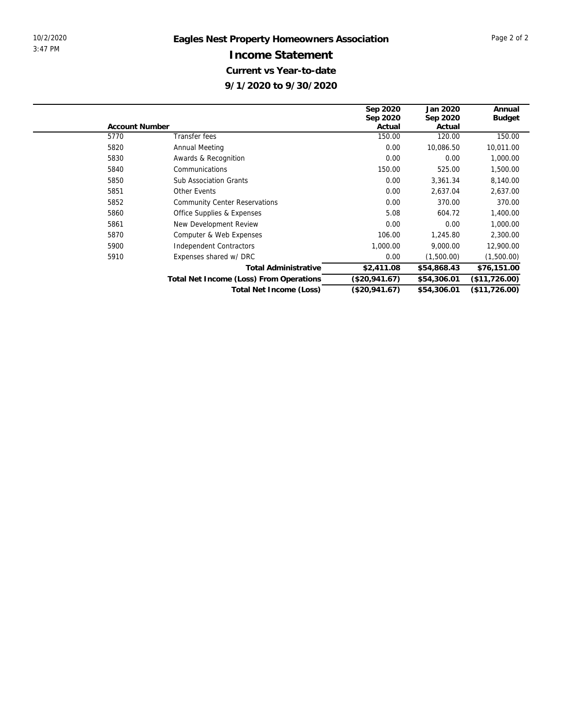|                       |                                         | Sep 2020      | Jan 2020    | Annual        |
|-----------------------|-----------------------------------------|---------------|-------------|---------------|
|                       |                                         | Sep 2020      | Sep 2020    | <b>Budget</b> |
| <b>Account Number</b> |                                         | Actual        | Actual      |               |
| 5770                  | Transfer fees                           | 150.00        | 120.00      | 150.00        |
| 5820                  | Annual Meeting                          | 0.00          | 10,086.50   | 10,011.00     |
| 5830                  | Awards & Recognition                    | 0.00          | 0.00        | 1,000.00      |
| 5840                  | Communications                          | 150.00        | 525.00      | 1,500.00      |
| 5850                  | <b>Sub Association Grants</b>           | 0.00          | 3,361.34    | 8,140.00      |
| 5851                  | Other Events                            | 0.00          | 2,637.04    | 2,637.00      |
| 5852                  | <b>Community Center Reservations</b>    | 0.00          | 370.00      | 370.00        |
| 5860                  | Office Supplies & Expenses              | 5.08          | 604.72      | 1,400.00      |
| 5861                  | New Development Review                  | 0.00          | 0.00        | 1,000.00      |
| 5870                  | Computer & Web Expenses                 | 106.00        | 1,245.80    | 2,300.00      |
| 5900                  | Independent Contractors                 | 1,000.00      | 9,000.00    | 12,900.00     |
| 5910                  | Expenses shared w/ DRC                  | 0.00          | (1,500.00)  | (1,500.00)    |
|                       | <b>Total Administrative</b>             | \$2,411.08    | \$54,868.43 | \$76,151.00   |
|                       | Total Net Income (Loss) From Operations | (\$20,941.67) | \$54,306.01 | (\$11,726.00) |
|                       | Total Net Income (Loss)                 | (\$20,941.67) | \$54,306.01 | (\$11,726.00) |
|                       |                                         |               |             |               |